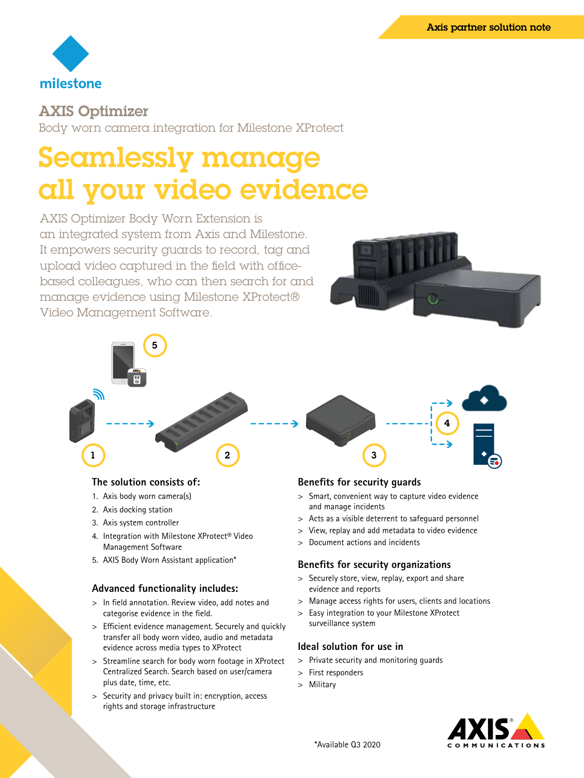

## AXIS Optimizer

Body worn camera integration for Milestone XProtect

# Seamlessly manage all your video evidence

AXIS Optimizer Body Worn Extension is an integrated system from Axis and Milestone. It empowers security guards to record, tag and upload video captured in the field with officebased colleagues, who can then search for and manage evidence using Milestone XProtect® Video Management Software.





#### **The solution consists of:**

- 1. Axis body worn camera(s)
- 2. Axis docking station
- 3. Axis system controller
- 4. Integration with Milestone XProtect® Video Management Software
- 5. AXIS Body Worn Assistant application\*

#### **Advanced functionality includes:**

- > In field annotation. Review video, add notes and categorise evidence in the field.
- > Efficient evidence management. Securely and quickly transfer all body worn video, audio and metadata evidence across media types to XProtect
- > Streamline search for body worn footage in XProtect Centralized Search. Search based on user/camera plus date, time, etc.
- > Security and privacy built in: encryption, access rights and storage infrastructure

#### **Benefits for security guards**

- > Smart, convenient way to capture video evidence and manage incidents
- > Acts as a visible deterrent to safeguard personnel
- > View, replay and add metadata to video evidence
- > Document actions and incidents

#### **Benefits for security organizations**

- > Securely store, view, replay, export and share evidence and reports
- > Manage access rights for users, clients and locations
- > Easy integration to your Milestone XProtect surveillance system

#### **Ideal solution for use in**

- > Private security and monitoring guards
- > First responders
- > Military